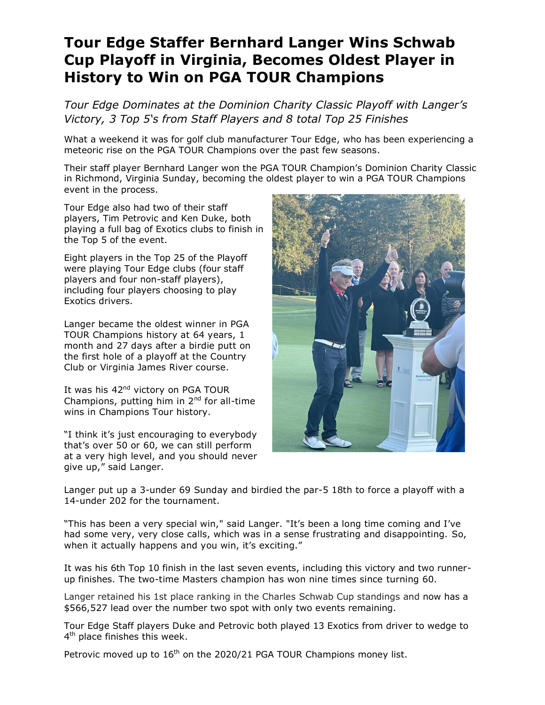## **Tour Edge Staffer Bernhard Langer Wins Schwab Cup Playoff in Virginia, Becomes Oldest Player in History to Win on PGA TOUR Champions**

*Tour Edge Dominates at the Dominion Charity Classic Playoff with Langer's Victory, 3 Top 5's from Staff Players and 8 total Top 25 Finishes* 

What a weekend it was for golf club manufacturer Tour Edge, who has been experiencing a meteoric rise on the PGA TOUR Champions over the past few seasons.

Their staff player Bernhard Langer won the PGA TOUR Champion's Dominion Charity Classic in Richmond, Virginia Sunday, becoming the oldest player to win a PGA TOUR Champions event in the process.

Tour Edge also had two of their staff players, Tim Petrovic and Ken Duke, both playing a full bag of Exotics clubs to finish in the Top 5 of the event.

Eight players in the Top 25 of the Playoff were playing Tour Edge clubs (four staff players and four non-staff players), including four players choosing to play Exotics drivers.

Langer became the oldest winner in PGA TOUR Champions history at 64 years, 1 month and 27 days after a birdie putt on the first hole of a playoff at the Country Club or Virginia James River course.

It was his 42<sup>nd</sup> victory on PGA TOUR Champions, putting him in  $2<sup>nd</sup>$  for all-time wins in Champions Tour history.

"I think it's just encouraging to everybody that's over 50 or 60, we can still perform at a very high level, and you should never give up," said Langer.



Langer put up a 3-under 69 Sunday and birdied the par-5 18th to force a playoff with a 14-under 202 for the tournament.

"This has been a very special win," said Langer. "It's been a long time coming and I've had some very, very close calls, which was in a sense frustrating and disappointing. So, when it actually happens and you win, it's exciting."

It was his 6th Top 10 finish in the last seven events, including this victory and two runnerup finishes. The two-time Masters champion has won nine times since turning 60.

Langer retained his 1st place ranking in the Charles Schwab Cup standings and now has a \$566,527 lead over the number two spot with only two events remaining.

Tour Edge Staff players Duke and Petrovic both played 13 Exotics from driver to wedge to 4<sup>th</sup> place finishes this week.

Petrovic moved up to  $16<sup>th</sup>$  on the 2020/21 PGA TOUR Champions money list.